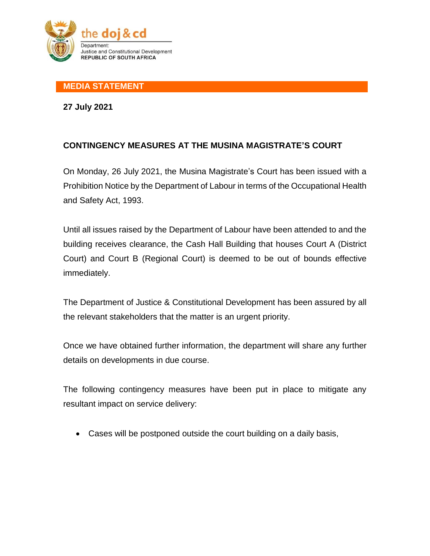

## **MEDIA STATEMENT**

**27 July 2021**

## **CONTINGENCY MEASURES AT THE MUSINA MAGISTRATE'S COURT**

On Monday, 26 July 2021, the Musina Magistrate's Court has been issued with a Prohibition Notice by the Department of Labour in terms of the Occupational Health and Safety Act, 1993.

Until all issues raised by the Department of Labour have been attended to and the building receives clearance, the Cash Hall Building that houses Court A (District Court) and Court B (Regional Court) is deemed to be out of bounds effective immediately.

The Department of Justice & Constitutional Development has been assured by all the relevant stakeholders that the matter is an urgent priority.

Once we have obtained further information, the department will share any further details on developments in due course.

The following contingency measures have been put in place to mitigate any resultant impact on service delivery:

Cases will be postponed outside the court building on a daily basis,